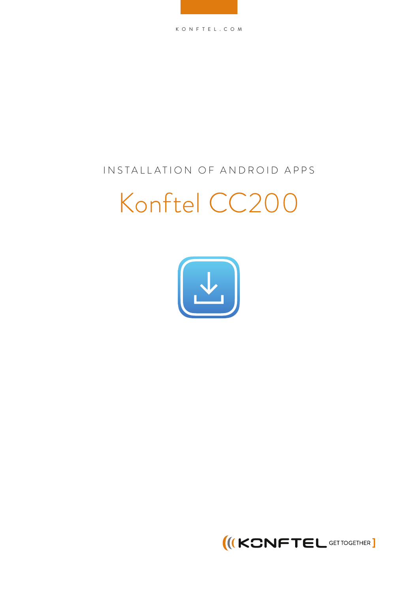KONFTEL.COM

## INSTALLATION OF ANDROID APPS

# Konftel CC200



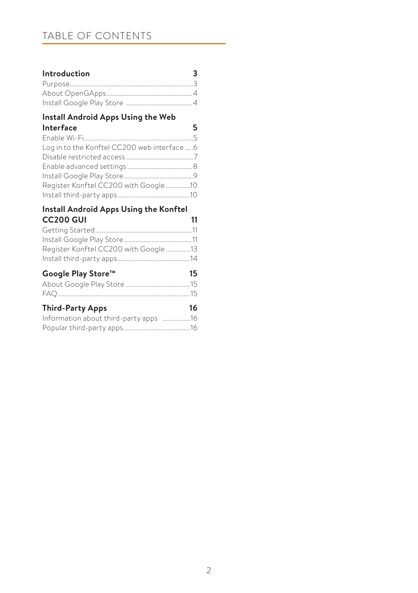## TABLE OF CONTENTS

| Introduction |  |
|--------------|--|
|              |  |
|              |  |
|              |  |

#### **Install Android Apps Using the Web Interface 5** Enable Wi-Fi....................................................................5 Log in to the Konftel CC200 web interface .....6 Disable restricted access ..........................................7 Enable advanced settings ........................................ 8

| Register Konftel CC200 with Google 10 |  |
|---------------------------------------|--|
|                                       |  |

#### **Install Android Apps Using the Konftel CC200 GUI 11**

| --------                              |    |
|---------------------------------------|----|
|                                       |    |
|                                       |    |
| Register Konftel CC200 with Google13  |    |
|                                       |    |
| Google Play Store™                    | 15 |
|                                       |    |
|                                       |    |
| <b>Third-Party Apps</b>               | 16 |
| Information about third-party apps 16 |    |
|                                       |    |
|                                       |    |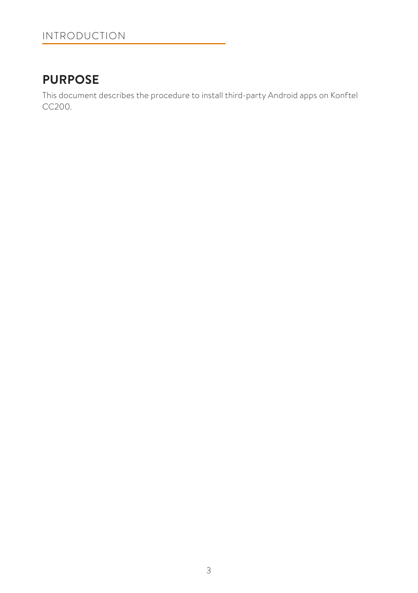# **PURPOSE**

This document describes the procedure to install third-party Android apps on Konftel CC200.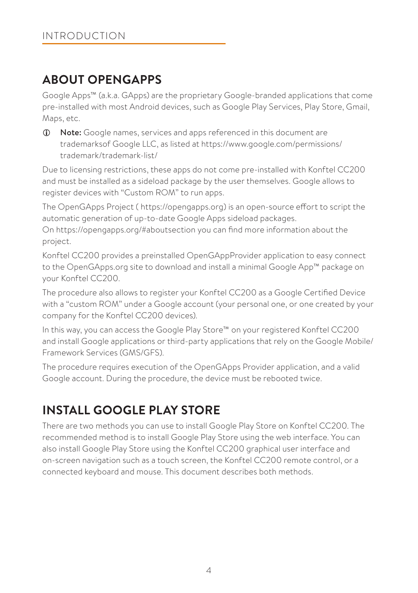# **ABOUT OPENGAPPS**

Google Apps™ (a.k.a. GApps) are the proprietary Google-branded applications that come pre-installed with most Android devices, such as Google Play Services, Play Store, Gmail, Maps, etc.

**1** Note: Google names, services and apps referenced in this document are trademarksof Google LLC, as listed at https://www.google.com/permissions/ trademark/trademark-list/

Due to licensing restrictions, these apps do not come pre-installed with Konftel CC200 and must be installed as a sideload package by the user themselves. Google allows to register devices with "Custom ROM" to run apps.

The OpenGApps Project ( https://opengapps.org) is an open-source effort to script the automatic generation of up-to-date Google Apps sideload packages.

On https://opengapps.org/#aboutsection you can find more information about the project.

Konftel CC200 provides a preinstalled OpenGAppProvider application to easy connect to the OpenGApps.org site to download and install a minimal Google App™ package on your Konftel CC200.

The procedure also allows to register your Konftel CC200 as a Google Certified Device with a "custom ROM" under a Google account (your personal one, or one created by your company for the Konftel CC200 devices).

In this way, you can access the Google Play Store™ on your registered Konftel CC200 and install Google applications or third-party applications that rely on the Google Mobile/ Framework Services (GMS/GFS).

The procedure requires execution of the OpenGApps Provider application, and a valid Google account. During the procedure, the device must be rebooted twice.

# **INSTALL GOOGLE PLAY STORE**

There are two methods you can use to install Google Play Store on Konftel CC200. The recommended method is to install Google Play Store using the web interface. You can also install Google Play Store using the Konftel CC200 graphical user interface and on-screen navigation such as a touch screen, the Konftel CC200 remote control, or a connected keyboard and mouse. This document describes both methods.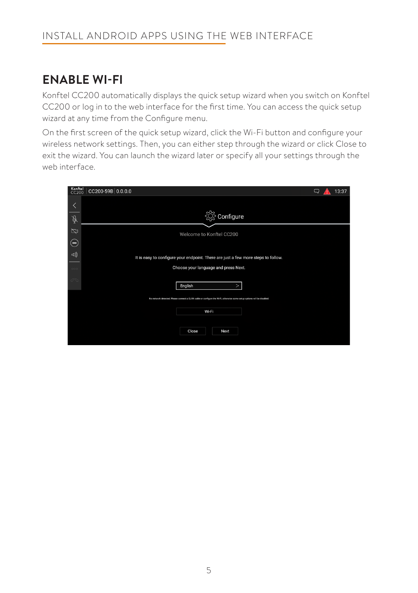# **ENABLE WI-FI**

Konftel CC200 automatically displays the quick setup wizard when you switch on Konftel CC200 or log in to the web interface for the first time. You can access the quick setup wizard at any time from the Configure menu.

On the first screen of the quick setup wizard, click the Wi-Fi button and configure your wireless network settings. Then, you can either step through the wizard or click Close to exit the wizard. You can launch the wizard later or specify all your settings through the web interface.

| Konftel<br>CC200  | CC200-59B 0.0.0.0 |                                                                                                                         | 13:37 |
|-------------------|-------------------|-------------------------------------------------------------------------------------------------------------------------|-------|
|                   |                   |                                                                                                                         |       |
| 受                 |                   | the Configure                                                                                                           |       |
| Ñ                 |                   | Welcome to Konftel CC200                                                                                                |       |
| $\left( -\right)$ |                   |                                                                                                                         |       |
| 데))               |                   | It is easy to configure your endpoint. There are just a few more steps to follow.                                       |       |
| 000               |                   | Choose your language and press Next.                                                                                    |       |
|                   |                   | English                                                                                                                 |       |
|                   |                   | No network detected. Please connect a GLAN cable or configure the Wi-Fi, otherwise some setup options will be disabled. |       |
|                   |                   | Wi-Fi                                                                                                                   |       |
|                   |                   |                                                                                                                         |       |
|                   |                   |                                                                                                                         |       |
|                   |                   | Close<br>Next                                                                                                           |       |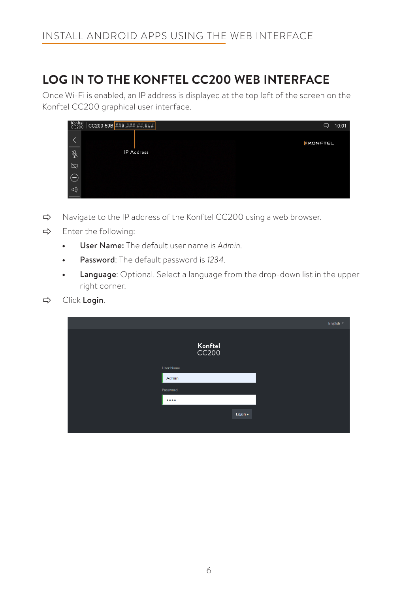# **LOG IN TO THE KONFTEL CC200 WEB INTERFACE**

Once Wi-Fi is enabled, an IP address is displayed at the top left of the screen on the Konftel CC200 graphical user interface.

| Konftel<br>CC200 | $ CC200-59B $ ###.###.##.### | Q         | 10:01 |
|------------------|------------------------------|-----------|-------|
|                  |                              | (IKCNFTEL |       |
| 夏                | <b>IP</b> Address            |           |       |
| Ø                |                              |           |       |
| c                |                              |           |       |
| [ 41)            |                              |           |       |

- Navigate to the IP address of the Konftel CC200 using a web browser.
- $\Rightarrow$  Enter the following:
	- **•** User Name: The default user name is *Admin*.
	- **•** Password: The default password is *1234*.
	- **•** Language: Optional. Select a language from the drop-down list in the upper right corner.
- $\Rightarrow$  Click Login.

|                  | English * |
|------------------|-----------|
|                  |           |
| Konftel<br>CC200 |           |
|                  |           |
| <b>User Name</b> |           |
| Admin            |           |
| Password         |           |
|                  |           |
| Login »          |           |
|                  |           |
|                  |           |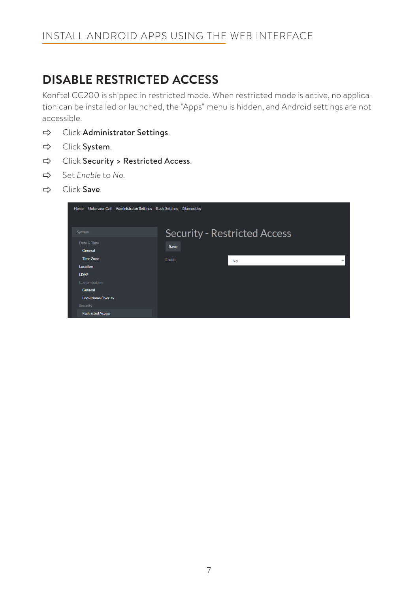# **DISABLE RESTRICTED ACCESS**

Konftel CC200 is shipped in restricted mode. When restricted mode is active, no application can be installed or launched, the "Apps" menu is hidden, and Android settings are not accessible.

- click Administrator Settings.
- Click System.
- Click Security > Restricted Access.
- Set *Enable* to *No*.
- $\Rightarrow$  Click Save.

| Make your Call Administrator Settings Basic Settings Diagnostics<br>Home |        |                                     |              |
|--------------------------------------------------------------------------|--------|-------------------------------------|--------------|
| System<br>Date & Time<br>General                                         | Save   | <b>Security - Restricted Access</b> |              |
| <b>Time Zone</b>                                                         | Enable | No                                  | $\checkmark$ |
| Location                                                                 |        |                                     |              |
| <b>LDAP</b>                                                              |        |                                     |              |
| Customization                                                            |        |                                     |              |
| General                                                                  |        |                                     |              |
| <b>Local Name Overlay</b>                                                |        |                                     |              |
| Security                                                                 |        |                                     |              |
| <b>Restricted Access</b>                                                 |        |                                     |              |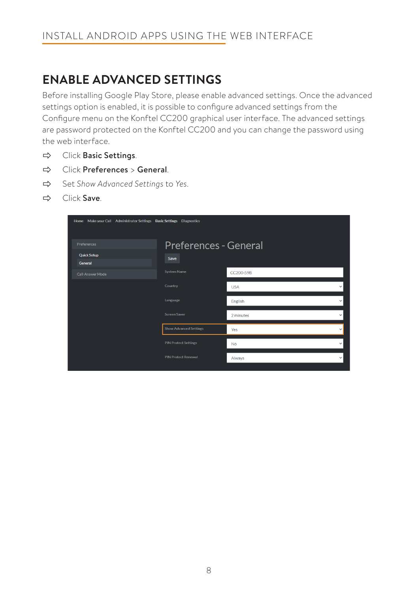# **ENABLE ADVANCED SETTINGS**

Before installing Google Play Store, please enable advanced settings. Once the advanced settings option is enabled, it is possible to configure advanced settings from the Configure menu on the Konftel CC200 graphical user interface. The advanced settings are password protected on the Konftel CC200 and you can change the password using the web interface.

- Click Basic Settings.
- Click Preferences > General.
- Set *Show Advanced Settings* to *Yes*.
- $\Rightarrow$  Click Save.

| Home Make your Call Administrator Settings Basic Settings Diagnostics |                                      |                            |
|-----------------------------------------------------------------------|--------------------------------------|----------------------------|
| Preferences<br><b>Quick Setup</b><br>General                          | <b>Preferences - General</b><br>Save |                            |
| <b>Call-Answer Mode</b>                                               | <b>System Name</b>                   | CC200-59B                  |
|                                                                       | Country                              | <b>USA</b><br>$\checkmark$ |
|                                                                       | Language                             | English<br>$\checkmark$    |
|                                                                       | <b>Screen Saver</b>                  | 2 minutes<br>$\checkmark$  |
|                                                                       | <b>Show Advanced Settings</b>        | Yes<br>$\checkmark$        |
|                                                                       | <b>PIN Protect Settings</b>          | $\checkmark$<br>No         |
|                                                                       | <b>PIN Protect Renewal</b>           | Always<br>$\checkmark$     |
|                                                                       |                                      |                            |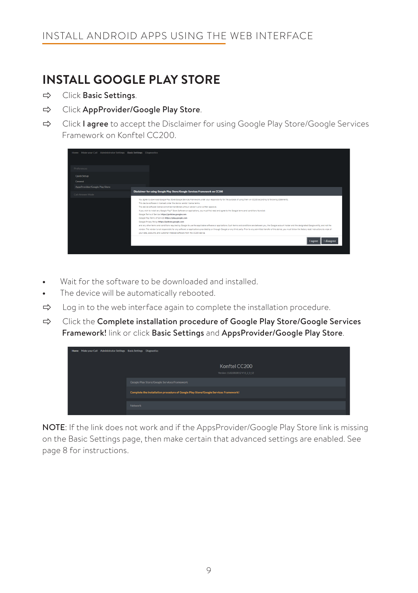# **INSTALL GOOGLE PLAY STORE**

- click Basic Settings.
- Click AppProvider/Google Play Store.
- Click I agree to accept the Disclaimer for using Google Play Store/Google Services Framework on Konftel CC200.

| Home Make your Call Administrator Settings Basic Settings Diagnostics |                                                                                                                                                                                                                                |
|-----------------------------------------------------------------------|--------------------------------------------------------------------------------------------------------------------------------------------------------------------------------------------------------------------------------|
|                                                                       |                                                                                                                                                                                                                                |
|                                                                       |                                                                                                                                                                                                                                |
| Preferences.                                                          |                                                                                                                                                                                                                                |
|                                                                       |                                                                                                                                                                                                                                |
| Quick Setup                                                           |                                                                                                                                                                                                                                |
| General                                                               |                                                                                                                                                                                                                                |
| AppsProvider/Google Play Store                                        |                                                                                                                                                                                                                                |
|                                                                       | Disclaimer for using Google Play Store/Google Services Framework on CC200                                                                                                                                                      |
| Call Answer Mode                                                      |                                                                                                                                                                                                                                |
|                                                                       | You acree to dounload Google Play Store/Google Services Framework under your responsibility for the gurgose of using them on CC200 according to following statements.                                                          |
|                                                                       | This device software is licensed under the device vendor license terms.                                                                                                                                                        |
|                                                                       | The device software license cannot be transferred without vendor's orior written approval.                                                                                                                                     |
|                                                                       | If you wish to install any Google Play™ Store Software or applications, you must first read and agree to the Google terms and conditions found at:                                                                             |
|                                                                       | Google Terms of Service: https://policies.google.com                                                                                                                                                                           |
|                                                                       | Google Play Terms of Service: Mitgas//play.google.com                                                                                                                                                                          |
|                                                                       | Google Privacy Policy: https://policies.google.com                                                                                                                                                                             |
|                                                                       | and any other terms and conditions required by Google to use the applicable software or applications. Such terms and conditions are between you. the Google account holder and the designated Google entity, and not the       |
|                                                                       | vendor. The vendor is not responsible for any software or applications provided by or through Google or any third party. Prior to any permitted transfer of the device, you must follow the factory reset instructions to wipe |
|                                                                       | your data, accounts, and customer installed software from the CC200 device.                                                                                                                                                    |
|                                                                       | <b>Jagree</b><br>disagree                                                                                                                                                                                                      |
|                                                                       |                                                                                                                                                                                                                                |
|                                                                       |                                                                                                                                                                                                                                |
|                                                                       |                                                                                                                                                                                                                                |

- **•** Wait for the software to be downloaded and installed.
- **•** The device will be automatically rebooted.
- $\Rightarrow$  Log in to the web interface again to complete the installation procedure.
- $\Rightarrow$  Click the Complete installation procedure of Google Play Store/Google Services Framework! link or click Basic Settings and AppsProvider/Google Play Store.

| Home Makeyour Call Administrator Settings Basic Settings Diagnostics |                                                                                     |
|----------------------------------------------------------------------|-------------------------------------------------------------------------------------|
|                                                                      | Konftel CC200<br>Version: 11.02.00.0012 V11_2_0_12                                  |
|                                                                      | Google Play Store/Google Services Framework                                         |
|                                                                      | Complete the installation procedure of Google Play Store/Google Services Framework! |
|                                                                      | Network                                                                             |

NOTE: If the link does not work and if the AppsProvider/Google Play Store link is missing on the Basic Settings page, then make certain that advanced settings are enabled. See page 8 for instructions.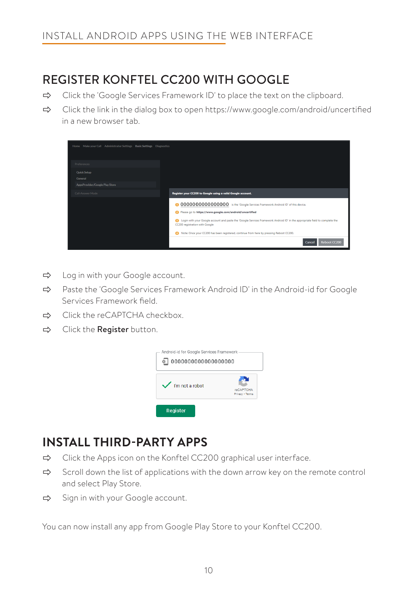# REGISTER KONFTEL CC200 WITH GOOGLE

- $\Rightarrow$  Click the 'Google Services Framework ID' to place the text on the clipboard.
- $\Rightarrow$  Click the link in the dialog box to open https://www.google.com/android/uncertified in a new browser tab.



- $\Rightarrow$  Log in with your Google account.
- Paste the 'Google Services Framework Android ID' in the Android-id for Google Services Framework field.
- Click the reCAPTCHA checkbox.
- $\Rightarrow$  Click the **Register** button.



## **INSTALL THIRD-PARTY APPS**

- $\Rightarrow$  Click the Apps icon on the Konftel CC200 graphical user interface.
- $\Rightarrow$  Scroll down the list of applications with the down arrow key on the remote control and select Play Store.
- $\Rightarrow$  Sign in with your Google account.

You can now install any app from Google Play Store to your Konftel CC200.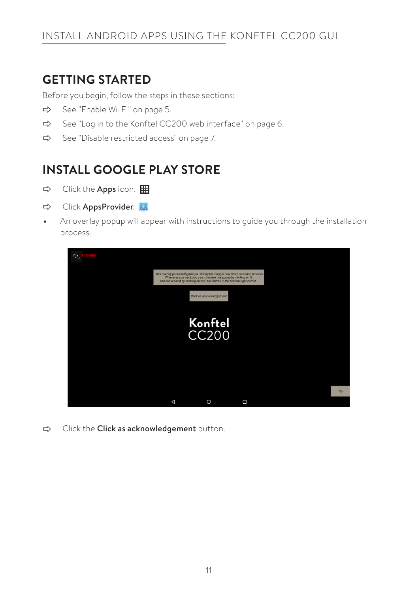## **GETTING STARTED**

Before you begin, follow the steps in these sections:

- See "Enable Wi-Fi" on page 5.
- See "Log in to the Konftel CC200 web interface" on page 6.
- See "Disable restricted access" on page 7.

## **INSTALL GOOGLE PLAY STORE**

- $\Rightarrow$  Click the Apps icon.  $\boxplus$
- Click AppsProvider.
- **•** An overlay popup will appear with instructions to guide you through the installation process.



 $\Rightarrow$  Click the Click as acknowledgement button.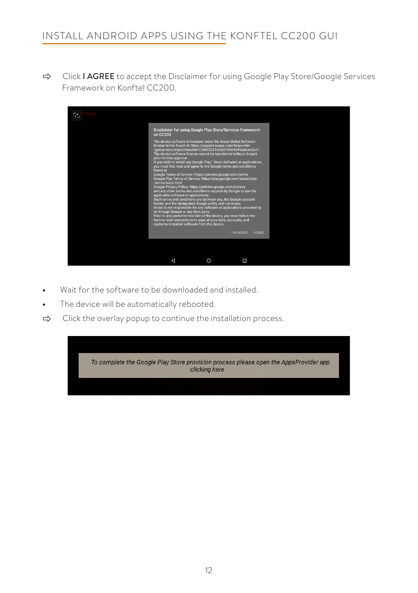Click I AGREE to accept the Disclaimer for using Google Play Store/Google Services Framework on Konftel CC200.



- **•** Wait for the software to be downloaded and installed.
- **•** The device will be automatically rebooted.
- $\Rightarrow$  Click the overlay popup to continue the installation process.

To complete the Google Play Store provision process please open the AppsProvider app clicking here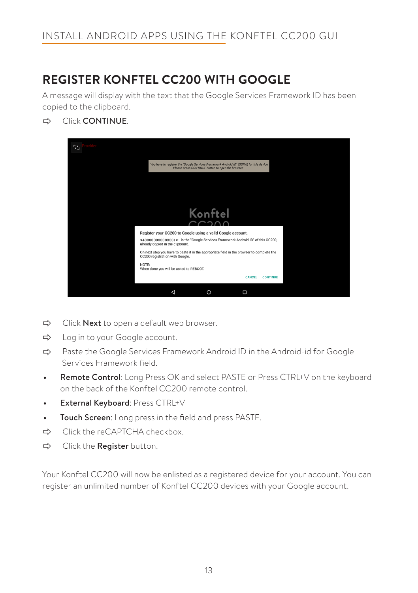# **REGISTER KONFTEL CC200 WITH GOOGLE**

A message will display with the text that the Google Services Framework ID has been copied to the clipboard.

Click CONTINUE.



- $\Rightarrow$  Click **Next** to open a default web browser.
- Log in to your Google account.
- Paste the Google Services Framework Android ID in the Android-id for Google Services Framework field.
- **•** Remote Control: Long Press OK and select PASTE or Press CTRL+V on the keyboard on the back of the Konftel CC200 remote control.
- **•** External Keyboard: Press CTRL+V
- **•** Touch Screen: Long press in the field and press PASTE.
- Click the reCAPTCHA checkbox.
- Click the Register button.

Your Konftel CC200 will now be enlisted as a registered device for your account. You can register an unlimited number of Konftel CC200 devices with your Google account.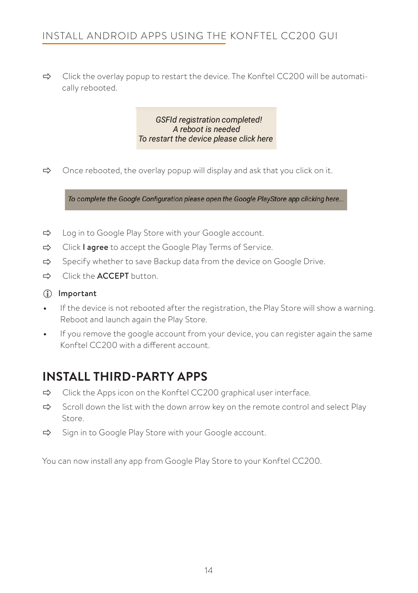$\Rightarrow$  Click the overlay popup to restart the device. The Konftel CC200 will be automatically rebooted.

#### **GSFId registration completed!** A reboot is needed To restart the device please click here

 $\Rightarrow$  Once rebooted, the overlay popup will display and ask that you click on it.

To complete the Google Configuration please open the Google PlayStore app clicking here...

- Log in to Google Play Store with your Google account.
- $\Rightarrow$  Click I agree to accept the Google Play Terms of Service.
- $\Rightarrow$  Specify whether to save Backup data from the device on Google Drive.
- $\Rightarrow$  Click the **ACCEPT** button.
- Important
- **•** If the device is not rebooted after the registration, the Play Store will show a warning. Reboot and launch again the Play Store.
- **•** If you remove the google account from your device, you can register again the same Konftel CC200 with a different account.

## **INSTALL THIRD-PARTY APPS**

- $\Rightarrow$  Click the Apps icon on the Konftel CC200 graphical user interface.
- $\Rightarrow$  Scroll down the list with the down arrow key on the remote control and select Play Store.
- $\Rightarrow$  Sign in to Google Play Store with your Google account.

You can now install any app from Google Play Store to your Konftel CC200.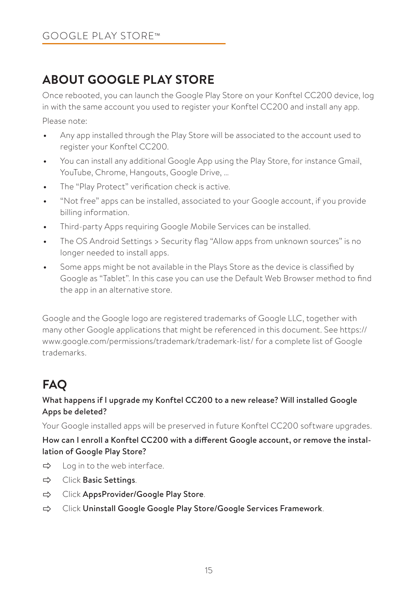# **ABOUT GOOGLE PLAY STORE**

Once rebooted, you can launch the Google Play Store on your Konftel CC200 device, log in with the same account you used to register your Konftel CC200 and install any app.

Please note:

- **•** Any app installed through the Play Store will be associated to the account used to register your Konftel CC200.
- **•** You can install any additional Google App using the Play Store, for instance Gmail, YouTube, Chrome, Hangouts, Google Drive, …
- **•** The "Play Protect" verification check is active.
- **•** "Not free" apps can be installed, associated to your Google account, if you provide billing information.
- **•** Third-party Apps requiring Google Mobile Services can be installed.
- **•** The OS Android Settings > Security flag "Allow apps from unknown sources" is no longer needed to install apps.
- **•** Some apps might be not available in the Plays Store as the device is classified by Google as "Tablet". In this case you can use the Default Web Browser method to find the app in an alternative store.

Google and the Google logo are registered trademarks of Google LLC, together with many other Google applications that might be referenced in this document. See https:// www.google.com/permissions/trademark/trademark-list/ for a complete list of Google trademarks.

# **FAQ**

## What happens if I upgrade my Konftel CC200 to a new release? Will installed Google Apps be deleted?

Your Google installed apps will be preserved in future Konftel CC200 software upgrades.

How can I enroll a Konftel CC200 with a different Google account, or remove the installation of Google Play Store?

- $\Rightarrow$  Log in to the web interface.
- $\Rightarrow$  Click Basic Settings.
- Click AppsProvider/Google Play Store.
- $\Rightarrow$  Click Uninstall Google Google Play Store/Google Services Framework.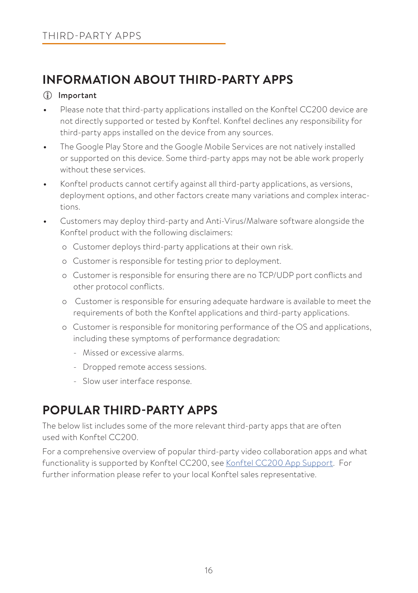# **INFORMATION ABOUT THIRD-PARTY APPS**

#### Important

- **•** Please note that third-party applications installed on the Konftel CC200 device are not directly supported or tested by Konftel. Konftel declines any responsibility for third-party apps installed on the device from any sources.
- **•** The Google Play Store and the Google Mobile Services are not natively installed or supported on this device. Some third-party apps may not be able work properly without these services.
- **•** Konftel products cannot certify against all third-party applications, as versions, deployment options, and other factors create many variations and complex interactions.
- **•** Customers may deploy third-party and Anti-Virus/Malware software alongside the Konftel product with the following disclaimers:
	- o Customer deploys third-party applications at their own risk.
	- o Customer is responsible for testing prior to deployment.
	- o Customer is responsible for ensuring there are no TCP/UDP port conflicts and other protocol conflicts.
	- o Customer is responsible for ensuring adequate hardware is available to meet the requirements of both the Konftel applications and third-party applications.
	- o Customer is responsible for monitoring performance of the OS and applications, including these symptoms of performance degradation:
		- Missed or excessive alarms.
		- Dropped remote access sessions.
		- Slow user interface response.

# **POPULAR THIRD-PARTY APPS**

The below list includes some of the more relevant third-party apps that are often used with Konftel CC200.

For a comprehensive overview of popular third-party video collaboration apps and what functionality is supported by Konftel CC200, see Konftel CC200 App Support. For further information please refer to your local Konftel sales representative.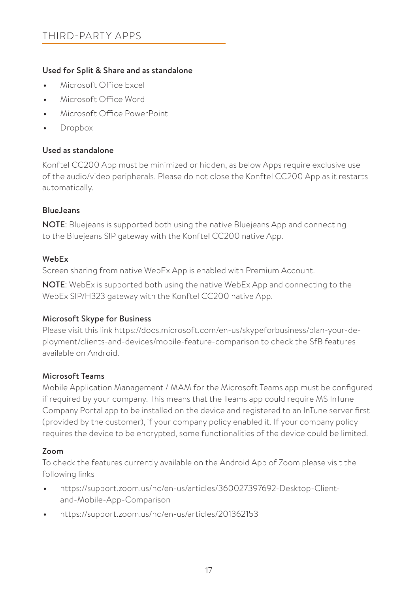#### Used for Split & Share and as standalone

- **•** Microsoft Office Excel
- **•** Microsoft Office Word
- **•** Microsoft Office PowerPoint
- **•** Dropbox

#### Used as standalone

Konftel CC200 App must be minimized or hidden, as below Apps require exclusive use of the audio/video peripherals. Please do not close the Konftel CC200 App as it restarts automatically.

#### **BlueJeans**

NOTE: Bluejeans is supported both using the native Bluejeans App and connecting to the Bluejeans SIP gateway with the Konftel CC200 native App.

#### WebEx

Screen sharing from native WebEx App is enabled with Premium Account.

NOTE: WebEx is supported both using the native WebEx App and connecting to the WebEx SIP/H323 gateway with the Konftel CC200 native App.

#### Microsoft Skype for Business

Please visit this link https://docs.microsoft.com/en-us/skypeforbusiness/plan-your-deployment/clients-and-devices/mobile-feature-comparison to check the SfB features available on Android.

## Microsoft Teams

Mobile Application Management / MAM for the Microsoft Teams app must be configured if required by your company. This means that the Teams app could require MS InTune Company Portal app to be installed on the device and registered to an InTune server first (provided by the customer), if your company policy enabled it. If your company policy requires the device to be encrypted, some functionalities of the device could be limited.

#### Zoom

To check the features currently available on the Android App of Zoom please visit the following links

- **•** https://support.zoom.us/hc/en-us/articles/360027397692-Desktop-Clientand-Mobile-App-Comparison
- **•** https://support.zoom.us/hc/en-us/articles/201362153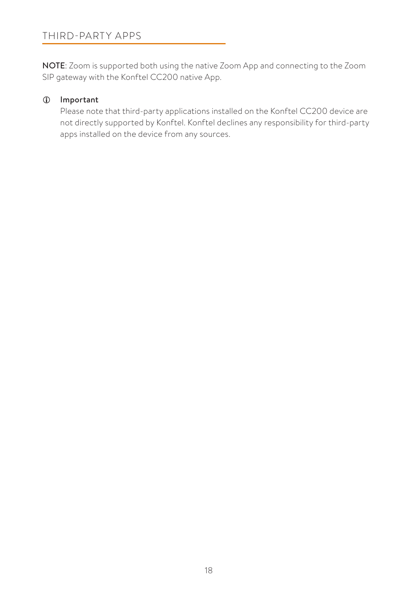## THIRD-PARTY APPS

NOTE: Zoom is supported both using the native Zoom App and connecting to the Zoom SIP gateway with the Konftel CC200 native App.

#### L Important

Please note that third-party applications installed on the Konftel CC200 device are not directly supported by Konftel. Konftel declines any responsibility for third-party apps installed on the device from any sources.